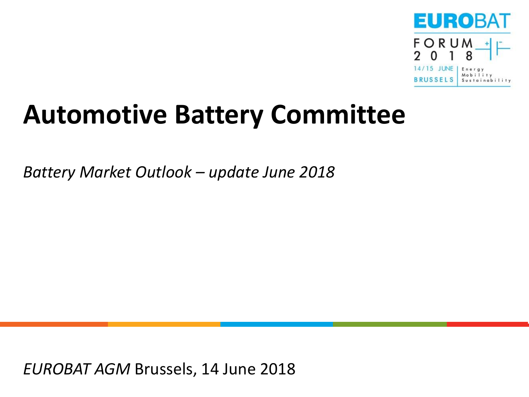

# **Automotive Battery Committee**

*Battery Market Outlook – update June 2018*

*EUROBAT AGM* Brussels, 14 June 2018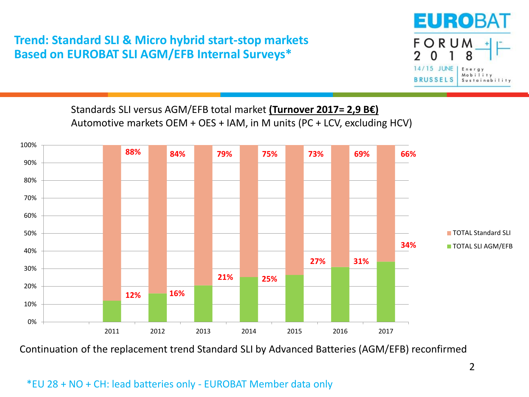## **Trend: Standard SLI & Micro hybrid start-stop markets Based on EUROBAT SLI AGM/EFB Internal Surveys\***



Standards SLI versus AGM/EFB total market **(Turnover 2017= 2,9 B€)** Automotive markets OEM + OES + IAM, in M units (PC + LCV, excluding HCV)



Continuation of the replacement trend Standard SLI by Advanced Batteries (AGM/EFB) reconfirmed

#### \*EU 28 + NO + CH: lead batteries only - EUROBAT Member data only